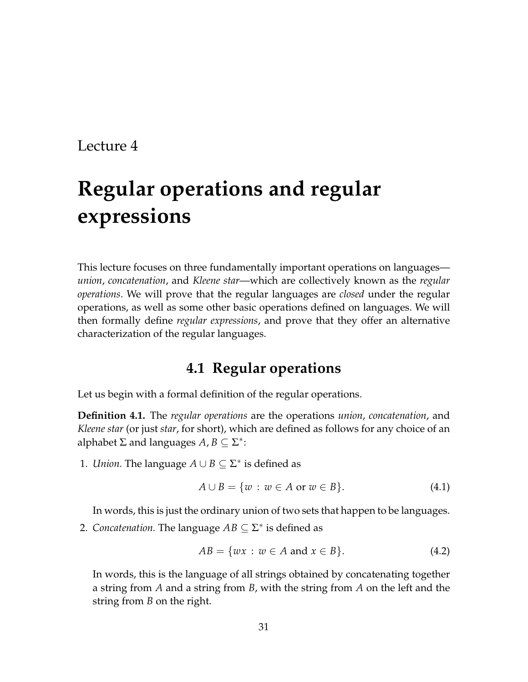# **Regular operations and regular expressions**

This lecture focuses on three fundamentally important operations on languages *union*, *concatenation*, and *Kleene star*—which are collectively known as the *regular operations*. We will prove that the regular languages are *closed* under the regular operations, as well as some other basic operations defined on languages. We will then formally define *regular expressions*, and prove that they offer an alternative characterization of the regular languages.

# **4.1 Regular operations**

Let us begin with a formal definition of the regular operations.

**Definition 4.1.** The *regular operations* are the operations *union*, *concatenation*, and *Kleene star* (or just *star*, for short), which are defined as follows for any choice of an alphabet  $\Sigma$  and languages  $A, B \subseteq \Sigma^*$ :

1. *Union*. The language  $A \cup B \subseteq \Sigma^*$  is defined as

$$
A \cup B = \{w : w \in A \text{ or } w \in B\}.
$$
\n
$$
(4.1)
$$

In words, this is just the ordinary union of two sets that happen to be languages.

2. *Concatenation*. The language  $AB \subseteq \Sigma^*$  is defined as

$$
AB = \{wx : w \in A \text{ and } x \in B\}. \tag{4.2}
$$

In words, this is the language of all strings obtained by concatenating together a string from *A* and a string from *B*, with the string from *A* on the left and the string from *B* on the right.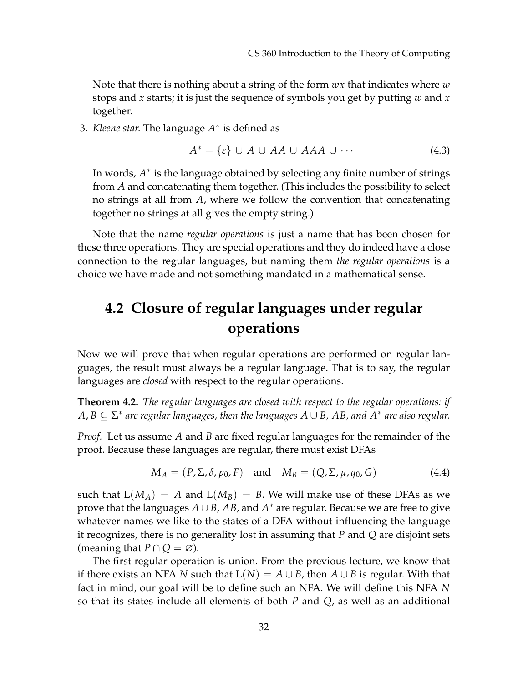Note that there is nothing about a string of the form *wx* that indicates where *w* stops and *x* starts; it is just the sequence of symbols you get by putting *w* and *x* together.

3. *Kleene star.* The language *A* ∗ is defined as

$$
A^* = \{\varepsilon\} \cup A \cup AA \cup AAA \cup \cdots \tag{4.3}
$$

In words,  $A^*$  is the language obtained by selecting any finite number of strings from *A* and concatenating them together. (This includes the possibility to select no strings at all from *A*, where we follow the convention that concatenating together no strings at all gives the empty string.)

Note that the name *regular operations* is just a name that has been chosen for these three operations. They are special operations and they do indeed have a close connection to the regular languages, but naming them *the regular operations* is a choice we have made and not something mandated in a mathematical sense.

# **4.2 Closure of regular languages under regular operations**

Now we will prove that when regular operations are performed on regular languages, the result must always be a regular language. That is to say, the regular languages are *closed* with respect to the regular operations.

<span id="page-1-0"></span>**Theorem 4.2.** *The regular languages are closed with respect to the regular operations: if A*, *B* ⊆ Σ ∗ *are regular languages, then the languages A* ∪ *B, AB, and A*<sup>∗</sup> *are also regular.*

*Proof.* Let us assume *A* and *B* are fixed regular languages for the remainder of the proof. Because these languages are regular, there must exist DFAs

$$
M_A = (P, \Sigma, \delta, p_0, F) \quad \text{and} \quad M_B = (Q, \Sigma, \mu, q_0, G) \tag{4.4}
$$

such that  $L(M_A) = A$  and  $L(M_B) = B$ . We will make use of these DFAs as we prove that the languages *A* ∪ *B*, *AB*, and *A* <sup>∗</sup> are regular. Because we are free to give whatever names we like to the states of a DFA without influencing the language it recognizes, there is no generality lost in assuming that *P* and *Q* are disjoint sets (meaning that  $P \cap Q = \emptyset$ ).

The first regular operation is union. From the previous lecture, we know that if there exists an NFA *N* such that  $L(N) = A \cup B$ , then  $A \cup B$  is regular. With that fact in mind, our goal will be to define such an NFA. We will define this NFA *N* so that its states include all elements of both *P* and *Q*, as well as an additional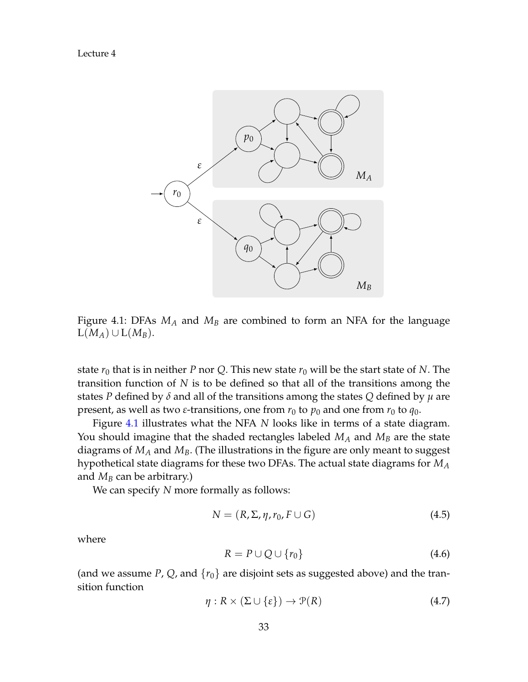

<span id="page-2-0"></span>Figure 4.1: DFAs *M<sup>A</sup>* and *M<sup>B</sup>* are combined to form an NFA for the language  $L(M_A) \cup L(M_B)$ .

state  $r_0$  that is in neither *P* nor *Q*. This new state  $r_0$  will be the start state of *N*. The transition function of *N* is to be defined so that all of the transitions among the states *P* defined by *δ* and all of the transitions among the states *Q* defined by *µ* are present, as well as two *ε*-transitions, one from  $r_0$  to  $p_0$  and one from  $r_0$  to  $q_0$ .

Figure [4.1](#page-2-0) illustrates what the NFA *N* looks like in terms of a state diagram. You should imagine that the shaded rectangles labeled *M<sup>A</sup>* and *M<sup>B</sup>* are the state diagrams of *M<sup>A</sup>* and *MB*. (The illustrations in the figure are only meant to suggest hypothetical state diagrams for these two DFAs. The actual state diagrams for *M<sup>A</sup>* and  $M_B$  can be arbitrary.)

We can specify *N* more formally as follows:

$$
N = (R, \Sigma, \eta, r_0, F \cup G) \tag{4.5}
$$

where

$$
R = P \cup Q \cup \{r_0\} \tag{4.6}
$$

(and we assume  $P$ ,  $Q$ , and  $\{r_0\}$  are disjoint sets as suggested above) and the transition function

$$
\eta: R \times (\Sigma \cup \{\varepsilon\}) \to \mathcal{P}(R) \tag{4.7}
$$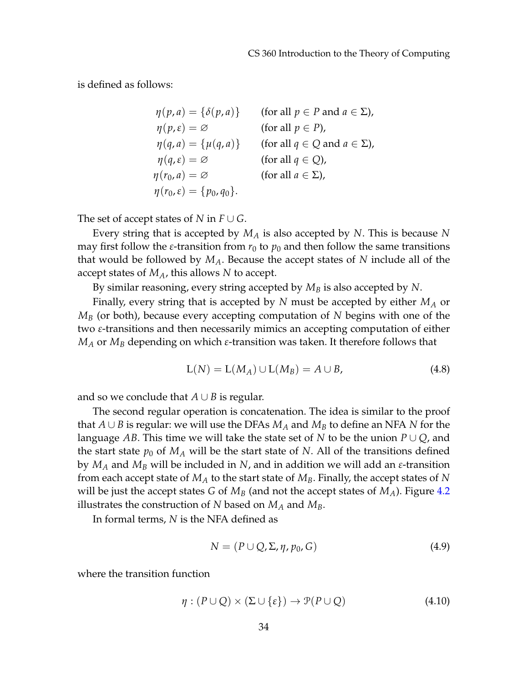is defined as follows:

$$
\eta(p, a) = \{\delta(p, a)\} \qquad \text{(for all } p \in P \text{ and } a \in \Sigma\text{)},
$$
  
\n
$$
\eta(p, \varepsilon) = \varnothing \qquad \text{(for all } p \in P\text{)},
$$
  
\n
$$
\eta(q, a) = \{\mu(q, a)\} \qquad \text{(for all } q \in Q \text{ and } a \in \Sigma\text{)},
$$
  
\n
$$
\eta(q, \varepsilon) = \varnothing \qquad \text{(for all } q \in Q\text{)},
$$
  
\n
$$
\eta(r_0, a) = \varnothing \qquad \text{(for all } a \in \Sigma\text{)},
$$
  
\n
$$
\eta(r_0, \varepsilon) = \{p_0, q_0\}.
$$

The set of accept states of *N* in  $F \cup G$ .

Every string that is accepted by *M<sup>A</sup>* is also accepted by *N*. This is because *N* may first follow the *ε*-transition from  $r_0$  to  $p_0$  and then follow the same transitions that would be followed by *MA*. Because the accept states of *N* include all of the accept states of *MA*, this allows *N* to accept.

By similar reasoning, every string accepted by *M<sup>B</sup>* is also accepted by *N*.

Finally, every string that is accepted by *N* must be accepted by either *M<sup>A</sup>* or *M<sup>B</sup>* (or both), because every accepting computation of *N* begins with one of the two *ε*-transitions and then necessarily mimics an accepting computation of either *M<sup>A</sup>* or *M<sup>B</sup>* depending on which *ε*-transition was taken. It therefore follows that

$$
L(N) = L(M_A) \cup L(M_B) = A \cup B,\tag{4.8}
$$

and so we conclude that  $A \cup B$  is regular.

The second regular operation is concatenation. The idea is similar to the proof that *A* ∪ *B* is regular: we will use the DFAs  $M_A$  and  $M_B$  to define an NFA *N* for the language *AB*. This time we will take the state set of *N* to be the union *P* ∪ *Q*, and the start state  $p_0$  of  $M_A$  will be the start state of N. All of the transitions defined by *M<sup>A</sup>* and *M<sup>B</sup>* will be included in *N*, and in addition we will add an *ε*-transition from each accept state of *M<sup>A</sup>* to the start state of *MB*. Finally, the accept states of *N* will be just the accept states *G* of *M<sup>B</sup>* (and not the accept states of *MA*). Figure [4.2](#page-4-0) illustrates the construction of *N* based on *M<sup>A</sup>* and *MB*.

In formal terms, *N* is the NFA defined as

$$
N = (P \cup Q, \Sigma, \eta, p_0, G) \tag{4.9}
$$

where the transition function

$$
\eta : (P \cup Q) \times (\Sigma \cup \{\varepsilon\}) \to \mathcal{P}(P \cup Q) \tag{4.10}
$$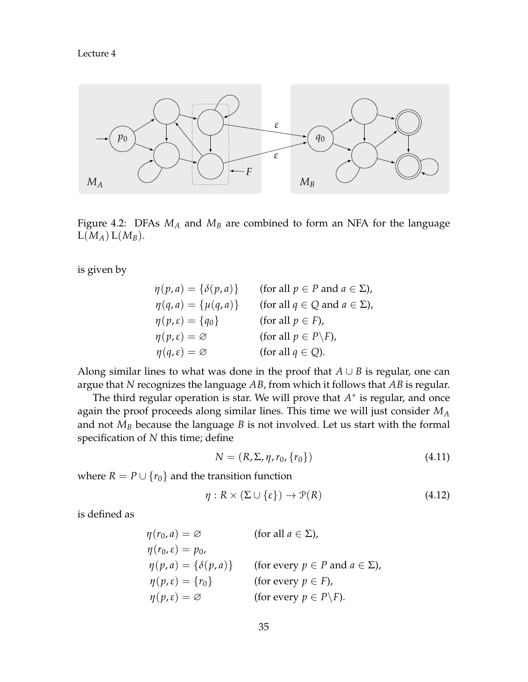

<span id="page-4-0"></span>Figure 4.2: DFAs *M<sup>A</sup>* and *M<sup>B</sup>* are combined to form an NFA for the language  $L(M_A) L(M_B)$ .

is given by

| $\eta(p,a) = \{\delta(p,a)\}\;$   | (for all $p \in P$ and $a \in \Sigma$ ), |
|-----------------------------------|------------------------------------------|
| $\eta(q, a) = \{\mu(q, a)\}\$     | (for all $q \in Q$ and $a \in \Sigma$ ), |
| $\eta(p,\varepsilon) = \{q_0\}$   | (for all $p \in F$ ),                    |
| $\eta(p,\varepsilon)=\varnothing$ | (for all $p \in P\backslash F$ ),        |
| $\eta(q,\varepsilon)=\varnothing$ | (for all $q \in Q$ ).                    |

Along similar lines to what was done in the proof that  $A \cup B$  is regular, one can argue that *N* recognizes the language *AB*, from which it follows that *AB* is regular.

The third regular operation is star. We will prove that  $A^*$  is regular, and once again the proof proceeds along similar lines. This time we will just consider *M<sup>A</sup>* and not *M<sup>B</sup>* because the language *B* is not involved. Let us start with the formal specification of *N* this time; define

$$
N = (R, \Sigma, \eta, r_0, \{r_0\})
$$
\n(4.11)

where  $R = P \cup \{r_0\}$  and the transition function

$$
\eta: R \times (\Sigma \cup \{\varepsilon\}) \to \mathcal{P}(R) \tag{4.12}
$$

is defined as

$$
\eta(r_0, a) = \varnothing \qquad \text{(for all } a \in \Sigma),
$$
  
\n
$$
\eta(r_0, \varepsilon) = p_0,
$$
  
\n
$$
\eta(p, a) = \{\delta(p, a)\} \qquad \text{(for every } p \in P \text{ and } a \in \Sigma),
$$
  
\n
$$
\eta(p, \varepsilon) = \{\eta\} \qquad \text{(for every } p \in F),
$$
  
\n
$$
\eta(p, \varepsilon) = \varnothing \qquad \text{(for every } p \in P \setminus F).
$$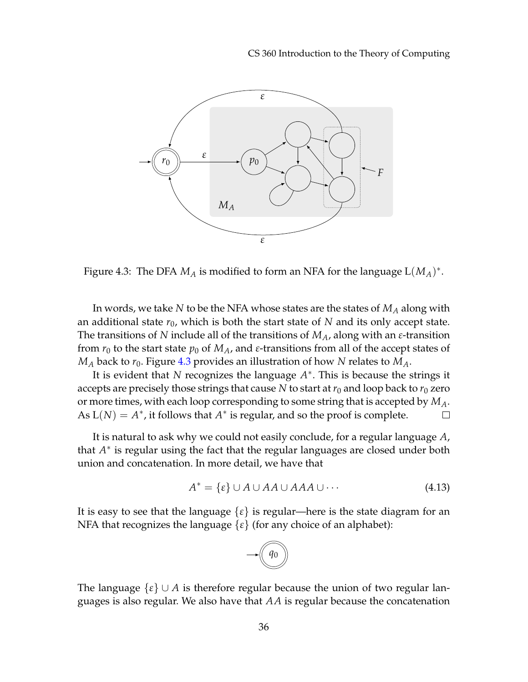

<span id="page-5-0"></span>Figure 4.3: The DFA  $M_A$  is modified to form an NFA for the language  $\text{L}(M_A)^*.$ 

In words, we take *N* to be the NFA whose states are the states of *M<sup>A</sup>* along with an additional state *r*0, which is both the start state of *N* and its only accept state. The transitions of *N* include all of the transitions of *MA*, along with an *ε*-transition from  $r_0$  to the start state  $p_0$  of  $M_A$ , and  $\varepsilon$ -transitions from all of the accept states of  $M_A$  back to  $r_0$ . Figure [4.3](#page-5-0) provides an illustration of how N relates to  $M_A$ .

It is evident that *N* recognizes the language *A* ∗ . This is because the strings it accepts are precisely those strings that cause *N* to start at  $r_0$  and loop back to  $r_0$  zero or more times, with each loop corresponding to some string that is accepted by *MA*. As  $L(N) = A^*$ , it follows that  $A^*$  is regular, and so the proof is complete.  $\Box$ 

It is natural to ask why we could not easily conclude, for a regular language *A*, that *A*<sup>∗</sup> is regular using the fact that the regular languages are closed under both union and concatenation. In more detail, we have that

<span id="page-5-1"></span>
$$
A^* = \{\varepsilon\} \cup A \cup AA \cup AAA \cup \cdots \tag{4.13}
$$

It is easy to see that the language  $\{\varepsilon\}$  is regular—here is the state diagram for an NFA that recognizes the language {*ε*} (for any choice of an alphabet):



The language  $\{\varepsilon\} \cup A$  is therefore regular because the union of two regular languages is also regular. We also have that *AA* is regular because the concatenation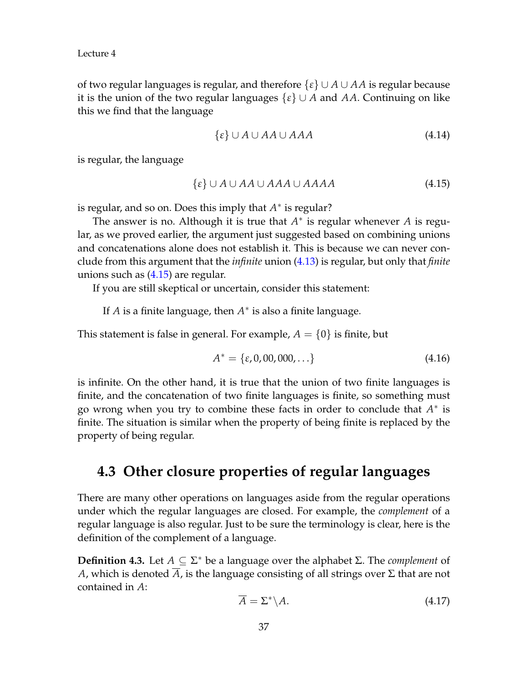of two regular languages is regular, and therefore {*ε*} ∪ *A* ∪ *AA* is regular because it is the union of the two regular languages {*ε*} ∪ *A* and *AA*. Continuing on like this we find that the language

$$
\{\varepsilon\} \cup A \cup AA \cup AAA \tag{4.14}
$$

is regular, the language

<span id="page-6-0"></span>
$$
\{\varepsilon\} \cup A \cup AA \cup AAA \cup AAAA \tag{4.15}
$$

is regular, and so on. Does this imply that  $A^*$  is regular?

The answer is no. Although it is true that  $A^*$  is regular whenever  $A$  is regular, as we proved earlier, the argument just suggested based on combining unions and concatenations alone does not establish it. This is because we can never conclude from this argument that the *infinite* union [\(4.13\)](#page-5-1) is regular, but only that *finite* unions such as [\(4.15\)](#page-6-0) are regular.

If you are still skeptical or uncertain, consider this statement:

If *A* is a finite language, then  $A^*$  is also a finite language.

This statement is false in general. For example,  $A = \{0\}$  is finite, but

$$
A^* = \{\varepsilon, 0, 00, 000, \ldots\} \tag{4.16}
$$

is infinite. On the other hand, it is true that the union of two finite languages is finite, and the concatenation of two finite languages is finite, so something must go wrong when you try to combine these facts in order to conclude that  $A^*$  is finite. The situation is similar when the property of being finite is replaced by the property of being regular.

## **4.3 Other closure properties of regular languages**

There are many other operations on languages aside from the regular operations under which the regular languages are closed. For example, the *complement* of a regular language is also regular. Just to be sure the terminology is clear, here is the definition of the complement of a language.

**Definition 4.3.** Let *A* ⊆ Σ <sup>∗</sup> be a language over the alphabet Σ. The *complement* of *A*, which is denoted *A*, is the language consisting of all strings over Σ that are not contained in *A*:

$$
\overline{A} = \Sigma^* \backslash A. \tag{4.17}
$$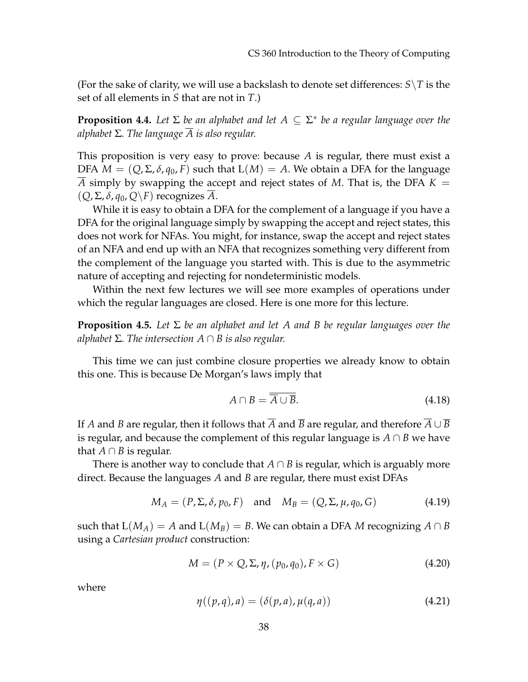(For the sake of clarity, we will use a backslash to denote set differences:  $S \setminus T$  is the set of all elements in *S* that are not in *T*.)

**Proposition 4.4.** *Let* Σ *be an alphabet and let A* ⊆ Σ ∗ *be a regular language over the alphabet* Σ*. The language A is also regular.*

This proposition is very easy to prove: because *A* is regular, there must exist a DFA  $M = (Q, \Sigma, \delta, q_0, F)$  such that  $L(M) = A$ . We obtain a DFA for the language *A* simply by swapping the accept and reject states of *M*. That is, the DFA *K* = (*Q*, Σ, *δ*, *q*0, *Q*\*F*) recognizes *A*.

While it is easy to obtain a DFA for the complement of a language if you have a DFA for the original language simply by swapping the accept and reject states, this does not work for NFAs. You might, for instance, swap the accept and reject states of an NFA and end up with an NFA that recognizes something very different from the complement of the language you started with. This is due to the asymmetric nature of accepting and rejecting for nondeterministic models.

Within the next few lectures we will see more examples of operations under which the regular languages are closed. Here is one more for this lecture.

**Proposition 4.5.** *Let* Σ *be an alphabet and let A and B be regular languages over the alphabet*  $\Sigma$ *. The intersection*  $A \cap B$  *is also regular.* 

This time we can just combine closure properties we already know to obtain this one. This is because De Morgan's laws imply that

$$
A \cap B = \overline{A \cup B}.\tag{4.18}
$$

If *A* and *B* are regular, then it follows that  $\overline{A}$  and  $\overline{B}$  are regular, and therefore  $\overline{A} \cup \overline{B}$ is regular, and because the complement of this regular language is *A* ∩ *B* we have that  $A \cap B$  is regular.

There is another way to conclude that  $A \cap B$  is regular, which is arguably more direct. Because the languages *A* and *B* are regular, there must exist DFAs

$$
M_A = (P, \Sigma, \delta, p_0, F) \quad \text{and} \quad M_B = (Q, \Sigma, \mu, q_0, G) \tag{4.19}
$$

such that  $L(M_A) = A$  and  $L(M_B) = B$ . We can obtain a DFA *M* recognizing  $A \cap B$ using a *Cartesian product* construction:

$$
M = (P \times Q, \Sigma, \eta, (p_0, q_0), F \times G) \tag{4.20}
$$

where

$$
\eta((p,q),a) = (\delta(p,a), \mu(q,a)) \tag{4.21}
$$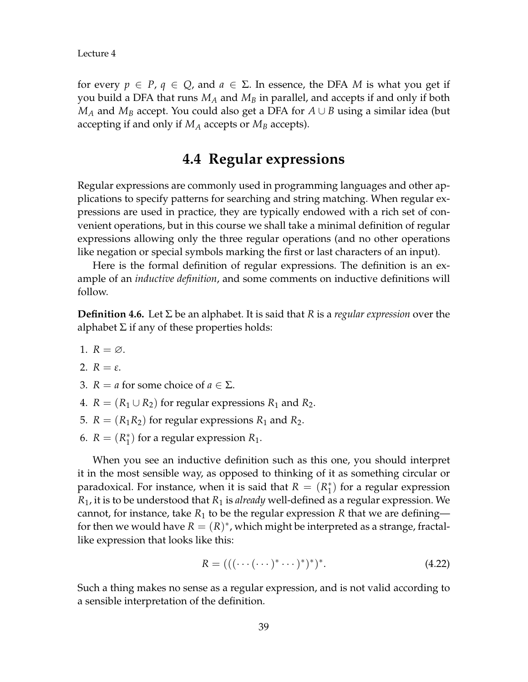for every  $p \in P$ ,  $q \in Q$ , and  $a \in \Sigma$ . In essence, the DFA *M* is what you get if you build a DFA that runs *M<sup>A</sup>* and *M<sup>B</sup>* in parallel, and accepts if and only if both *M<sup>A</sup>* and *M<sup>B</sup>* accept. You could also get a DFA for *A* ∪ *B* using a similar idea (but accepting if and only if *M<sup>A</sup>* accepts or *M<sup>B</sup>* accepts).

# **4.4 Regular expressions**

Regular expressions are commonly used in programming languages and other applications to specify patterns for searching and string matching. When regular expressions are used in practice, they are typically endowed with a rich set of convenient operations, but in this course we shall take a minimal definition of regular expressions allowing only the three regular operations (and no other operations like negation or special symbols marking the first or last characters of an input).

Here is the formal definition of regular expressions. The definition is an example of an *inductive definition*, and some comments on inductive definitions will follow.

<span id="page-8-0"></span>**Definition 4.6.** Let Σ be an alphabet. It is said that *R* is a *regular expression* over the alphabet  $\Sigma$  if any of these properties holds:

- 1.  $R = \emptyset$ .
- 2.  $R = \varepsilon$ .
- 3.  $R = a$  for some choice of  $a \in \Sigma$ .
- 4.  $R = (R_1 \cup R_2)$  for regular expressions  $R_1$  and  $R_2$ .
- 5.  $R = (R_1R_2)$  for regular expressions  $R_1$  and  $R_2$ .
- 6.  $R = (R_1^*$  $_1^*$ ) for a regular expression  $R_1$ .

When you see an inductive definition such as this one, you should interpret it in the most sensible way, as opposed to thinking of it as something circular or paradoxical. For instance, when it is said that  $R = (R_1^*$  $_{1}^{*}$ ) for a regular expression *R*1, it is to be understood that *R*<sup>1</sup> is *already* well-defined as a regular expression. We cannot, for instance, take  $R_1$  to be the regular expression  $R$  that we are defining for then we would have  $R = (R)^*$ , which might be interpreted as a strange, fractallike expression that looks like this:

$$
R = (((\cdots(\cdots)^* \cdots)^*)^*)^*.
$$
\n(4.22)

Such a thing makes no sense as a regular expression, and is not valid according to a sensible interpretation of the definition.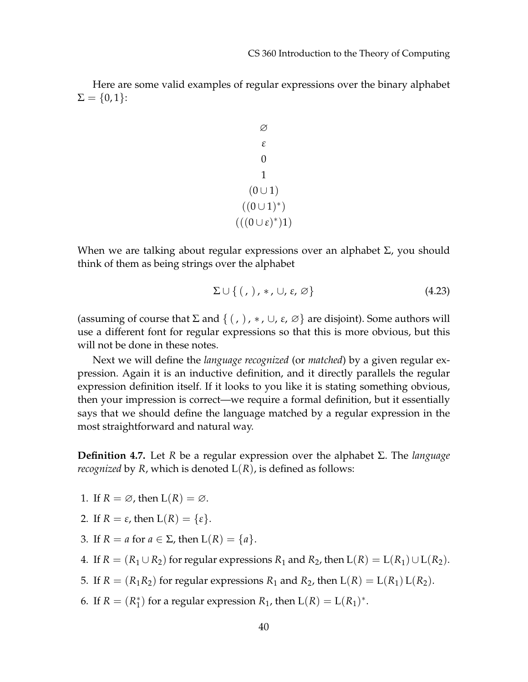Here are some valid examples of regular expressions over the binary alphabet  $\Sigma = \{0, 1\}$ :

$$
\begin{array}{c}\n\varnothing \\
\epsilon \\
0 \\
1 \\
(0 \cup 1) \\
((0 \cup 1)^*) \\
(((0 \cup \epsilon)^*)1)\n\end{array}
$$

When we are talking about regular expressions over an alphabet  $\Sigma$ , you should think of them as being strings over the alphabet

$$
\Sigma \cup \{ ( , ), *, \cup, \varepsilon, \varnothing \} \tag{4.23}
$$

(assuming of course that  $\Sigma$  and  $\{(\, ,\,),*,\cup,\varepsilon,\varnothing\}$  are disjoint). Some authors will use a different font for regular expressions so that this is more obvious, but this will not be done in these notes.

Next we will define the *language recognized* (or *matched*) by a given regular expression. Again it is an inductive definition, and it directly parallels the regular expression definition itself. If it looks to you like it is stating something obvious, then your impression is correct—we require a formal definition, but it essentially says that we should define the language matched by a regular expression in the most straightforward and natural way.

**Definition 4.7.** Let *R* be a regular expression over the alphabet Σ. The *language recognized* by  $R$ , which is denoted  $L(R)$ , is defined as follows:

- 1. If  $R = \emptyset$ , then  $L(R) = \emptyset$ .
- 2. If  $R = \varepsilon$ , then  $L(R) = \{\varepsilon\}.$
- 3. If  $R = a$  for  $a \in \Sigma$ , then  $L(R) = \{a\}.$
- 4. If  $R = (R_1 \cup R_2)$  for regular expressions  $R_1$  and  $R_2$ , then  $L(R) = L(R_1) \cup L(R_2)$ .
- 5. If  $R = (R_1R_2)$  for regular expressions  $R_1$  and  $R_2$ , then  $L(R) = L(R_1) L(R_2)$ .
- 6. If  $R = (R_1^*$  $\binom{1}{1}$  for a regular expression  $R_1$ , then  $L(R) = L(R_1)^*$ .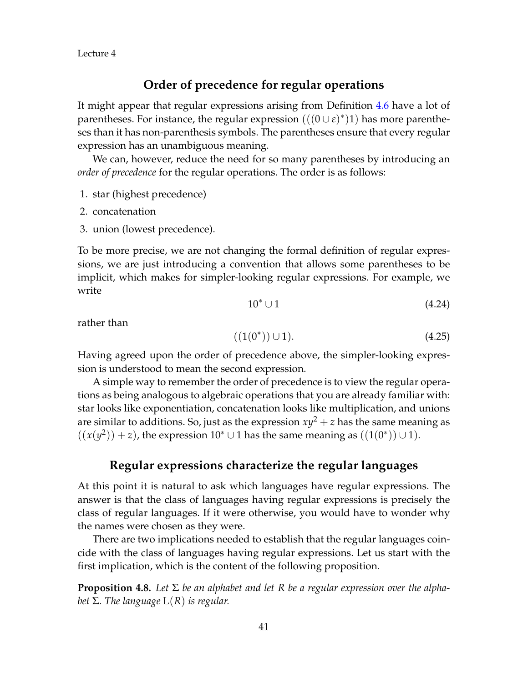### **Order of precedence for regular operations**

It might appear that regular expressions arising from Definition [4.6](#page-8-0) have a lot of parentheses. For instance, the regular expression  $(((0 \cup \varepsilon)^*)1)$  has more parentheses than it has non-parenthesis symbols. The parentheses ensure that every regular expression has an unambiguous meaning.

We can, however, reduce the need for so many parentheses by introducing an *order of precedence* for the regular operations. The order is as follows:

- 1. star (highest precedence)
- 2. concatenation
- 3. union (lowest precedence).

To be more precise, we are not changing the formal definition of regular expressions, we are just introducing a convention that allows some parentheses to be implicit, which makes for simpler-looking regular expressions. For example, we write

$$
10^* \cup 1 \tag{4.24}
$$

rather than

$$
((1(0^*)) \cup 1). \tag{4.25}
$$

Having agreed upon the order of precedence above, the simpler-looking expression is understood to mean the second expression.

A simple way to remember the order of precedence is to view the regular operations as being analogous to algebraic operations that you are already familiar with: star looks like exponentiation, concatenation looks like multiplication, and unions are similar to additions. So, just as the expression  $xy^2 + z$  has the same meaning as  $((x(y^2)) + z)$ , the expression 10<sup>\*</sup> ∪ 1 has the same meaning as  $((1(0^*)) \cup 1)$ .

### **Regular expressions characterize the regular languages**

At this point it is natural to ask which languages have regular expressions. The answer is that the class of languages having regular expressions is precisely the class of regular languages. If it were otherwise, you would have to wonder why the names were chosen as they were.

There are two implications needed to establish that the regular languages coincide with the class of languages having regular expressions. Let us start with the first implication, which is the content of the following proposition.

**Proposition 4.8.** *Let* Σ *be an alphabet and let R be a regular expression over the alphabet* Σ*. The language* L(*R*) *is regular.*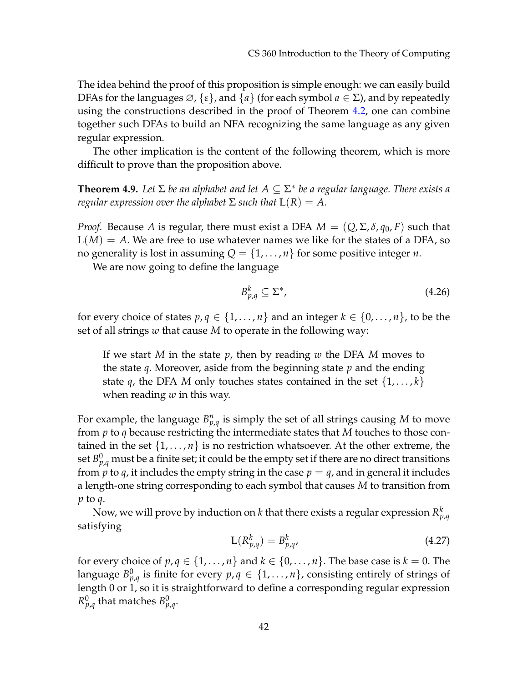The idea behind the proof of this proposition is simple enough: we can easily build DFAs for the languages ∅, {*ε*}, and {*a*} (for each symbol *a* ∈ Σ), and by repeatedly using the constructions described in the proof of Theorem [4.2,](#page-1-0) one can combine together such DFAs to build an NFA recognizing the same language as any given regular expression.

The other implication is the content of the following theorem, which is more difficult to prove than the proposition above.

**Theorem 4.9.** *Let* Σ *be an alphabet and let A* ⊆ Σ ∗ *be a regular language. There exists a regular expression over the alphabet*  $\Sigma$  *such that*  $L(R) = A$ .

*Proof.* Because *A* is regular, there must exist a DFA  $M = (Q, \Sigma, \delta, q_0, F)$  such that  $L(M) = A$ . We are free to use whatever names we like for the states of a DFA, so no generality is lost in assuming  $Q = \{1, \ldots, n\}$  for some positive integer *n*.

We are now going to define the language

$$
B_{p,q}^k \subseteq \Sigma^*,\tag{4.26}
$$

for every choice of states  $p, q \in \{1, ..., n\}$  and an integer  $k \in \{0, ..., n\}$ , to be the set of all strings *w* that cause *M* to operate in the following way:

If we start *M* in the state *p*, then by reading *w* the DFA *M* moves to the state *q*. Moreover, aside from the beginning state *p* and the ending state *q*, the DFA *M* only touches states contained in the set  $\{1,\ldots,k\}$ when reading *w* in this way.

For example, the language  $B_{p,q}^n$  is simply the set of all strings causing *M* to move from *p* to *q* because restricting the intermediate states that *M* touches to those contained in the set  $\{1,\ldots,n\}$  is no restriction whatsoever. At the other extreme, the set  $B_{p,q}^0$  must be a finite set; it could be the empty set if there are no direct transitions from  $p$  to  $q$ , it includes the empty string in the case  $p = q$ , and in general it includes a length-one string corresponding to each symbol that causes *M* to transition from *p* to *q*.

Now, we will prove by induction on  $k$  that there exists a regular expression  $R^k_{p,q}$ satisfying

<span id="page-11-0"></span>
$$
L(R_{p,q}^k) = B_{p,q}^k,\tag{4.27}
$$

for every choice of  $p, q \in \{1, ..., n\}$  and  $k \in \{0, ..., n\}$ . The base case is  $k = 0$ . The language  $B^0_{p,q}$  is finite for every  $p,q\in\{1,\ldots,n\}$ , consisting entirely of strings of length 0 or 1, so it is straightforward to define a corresponding regular expression  $R^0_{p,q}$  that matches  $B^0_{p,q}.$